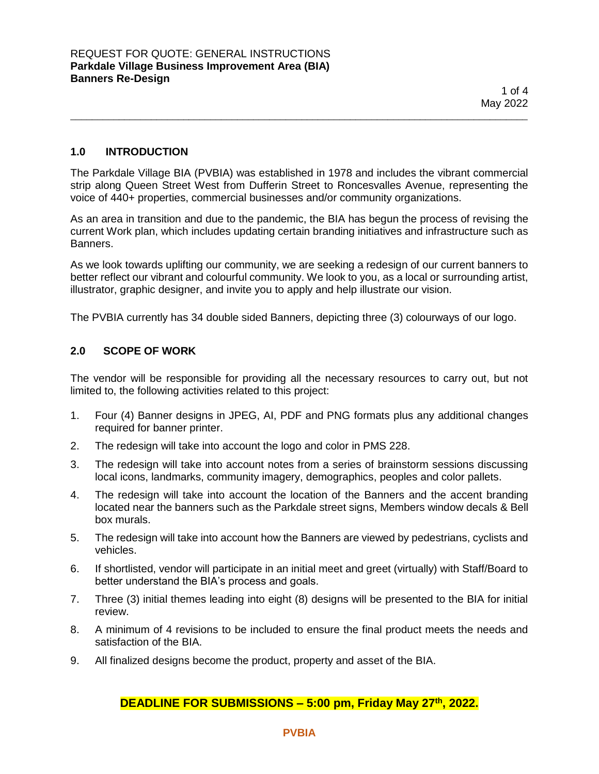## **1.0 INTRODUCTION**

The Parkdale Village BIA (PVBIA) was established in 1978 and includes the vibrant commercial strip along Queen Street West from Dufferin Street to Roncesvalles Avenue, representing the voice of 440+ properties, commercial businesses and/or community organizations.

\_\_\_\_\_\_\_\_\_\_\_\_\_\_\_\_\_\_\_\_\_\_\_\_\_\_\_\_\_\_\_\_\_\_\_\_\_\_\_\_\_\_\_\_\_\_\_\_\_\_\_\_\_\_\_\_\_\_\_\_\_\_\_\_\_\_\_\_\_\_\_\_\_\_\_\_\_\_\_\_\_\_\_\_\_

As an area in transition and due to the pandemic, the BIA has begun the process of revising the current Work plan, which includes updating certain branding initiatives and infrastructure such as Banners.

As we look towards uplifting our community, we are seeking a redesign of our current banners to better reflect our vibrant and colourful community. We look to you, as a local or surrounding artist, illustrator, graphic designer, and invite you to apply and help illustrate our vision.

The PVBIA currently has 34 double sided Banners, depicting three (3) colourways of our logo.

## **2.0 SCOPE OF WORK**

The vendor will be responsible for providing all the necessary resources to carry out, but not limited to, the following activities related to this project:

- 1. Four (4) Banner designs in JPEG, AI, PDF and PNG formats plus any additional changes required for banner printer.
- 2. The redesign will take into account the logo and color in PMS 228.
- 3. The redesign will take into account notes from a series of brainstorm sessions discussing local icons, landmarks, community imagery, demographics, peoples and color pallets.
- 4. The redesign will take into account the location of the Banners and the accent branding located near the banners such as the Parkdale street signs, Members window decals & Bell box murals.
- 5. The redesign will take into account how the Banners are viewed by pedestrians, cyclists and vehicles.
- 6. If shortlisted, vendor will participate in an initial meet and greet (virtually) with Staff/Board to better understand the BIA's process and goals.
- 7. Three (3) initial themes leading into eight (8) designs will be presented to the BIA for initial review.
- 8. A minimum of 4 revisions to be included to ensure the final product meets the needs and satisfaction of the BIA.
- 9. All finalized designs become the product, property and asset of the BIA.

## **DEADLINE FOR SUBMISSIONS – 5:00 pm, Friday May 27th, 2022.**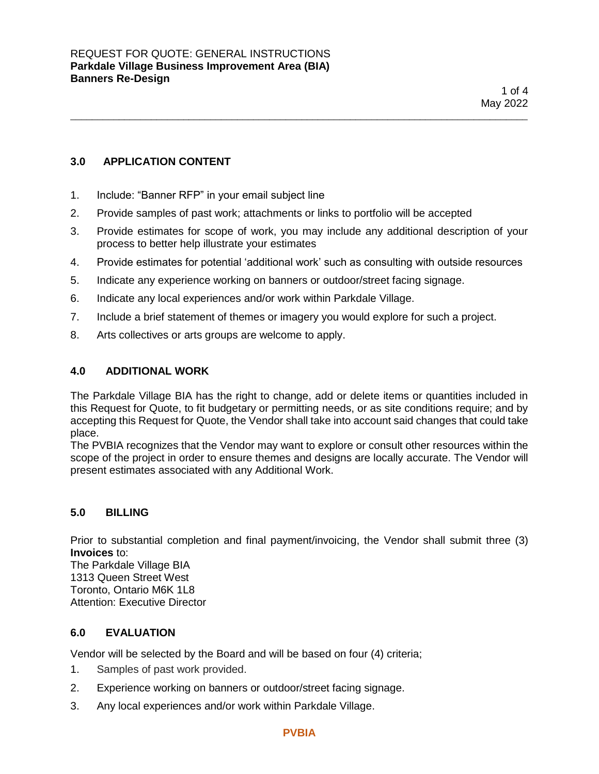# **3.0 APPLICATION CONTENT**

- 1. Include: "Banner RFP" in your email subject line
- 2. Provide samples of past work; attachments or links to portfolio will be accepted
- 3. Provide estimates for scope of work, you may include any additional description of your process to better help illustrate your estimates

\_\_\_\_\_\_\_\_\_\_\_\_\_\_\_\_\_\_\_\_\_\_\_\_\_\_\_\_\_\_\_\_\_\_\_\_\_\_\_\_\_\_\_\_\_\_\_\_\_\_\_\_\_\_\_\_\_\_\_\_\_\_\_\_\_\_\_\_\_\_\_\_\_\_\_\_\_\_\_\_\_\_\_\_\_

- 4. Provide estimates for potential 'additional work' such as consulting with outside resources
- 5. Indicate any experience working on banners or outdoor/street facing signage.
- 6. Indicate any local experiences and/or work within Parkdale Village.
- 7. Include a brief statement of themes or imagery you would explore for such a project.
- 8. Arts collectives or arts groups are welcome to apply.

## **4.0 ADDITIONAL WORK**

The Parkdale Village BIA has the right to change, add or delete items or quantities included in this Request for Quote, to fit budgetary or permitting needs, or as site conditions require; and by accepting this Request for Quote, the Vendor shall take into account said changes that could take place.

The PVBIA recognizes that the Vendor may want to explore or consult other resources within the scope of the project in order to ensure themes and designs are locally accurate. The Vendor will present estimates associated with any Additional Work.

### **5.0 BILLING**

Prior to substantial completion and final payment/invoicing, the Vendor shall submit three (3) **Invoices** to:

The Parkdale Village BIA 1313 Queen Street West Toronto, Ontario M6K 1L8 Attention: Executive Director

### **6.0 EVALUATION**

Vendor will be selected by the Board and will be based on four (4) criteria;

- 1. Samples of past work provided.
- 2. Experience working on banners or outdoor/street facing signage.
- 3. Any local experiences and/or work within Parkdale Village.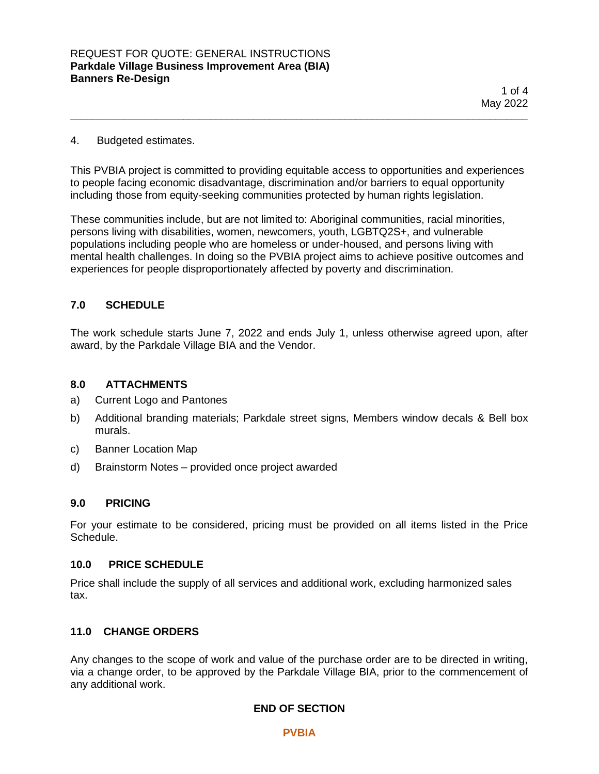$1$  of  $4$ May 2022

### 4. Budgeted estimates.

This PVBIA project is committed to providing equitable access to opportunities and experiences to people facing economic disadvantage, discrimination and/or barriers to equal opportunity including those from equity-seeking communities protected by human rights legislation.

\_\_\_\_\_\_\_\_\_\_\_\_\_\_\_\_\_\_\_\_\_\_\_\_\_\_\_\_\_\_\_\_\_\_\_\_\_\_\_\_\_\_\_\_\_\_\_\_\_\_\_\_\_\_\_\_\_\_\_\_\_\_\_\_\_\_\_\_\_\_\_\_\_\_\_\_\_\_\_\_\_\_\_\_\_

These communities include, but are not limited to: Aboriginal communities, racial minorities, persons living with disabilities, women, newcomers, youth, LGBTQ2S+, and vulnerable populations including people who are homeless or under-housed, and persons living with mental health challenges. In doing so the PVBIA project aims to achieve positive outcomes and experiences for people disproportionately affected by poverty and discrimination.

## **7.0 SCHEDULE**

The work schedule starts June 7, 2022 and ends July 1, unless otherwise agreed upon, after award, by the Parkdale Village BIA and the Vendor.

### **8.0 ATTACHMENTS**

- a) Current Logo and Pantones
- b) Additional branding materials; Parkdale street signs, Members window decals & Bell box murals.
- c) Banner Location Map
- d) Brainstorm Notes provided once project awarded

### **9.0 PRICING**

For your estimate to be considered, pricing must be provided on all items listed in the Price Schedule.

#### **10.0 PRICE SCHEDULE**

Price shall include the supply of all services and additional work, excluding harmonized sales tax.

### **11.0 CHANGE ORDERS**

Any changes to the scope of work and value of the purchase order are to be directed in writing, via a change order, to be approved by the Parkdale Village BIA, prior to the commencement of any additional work.

### **END OF SECTION**

**PVBIA**